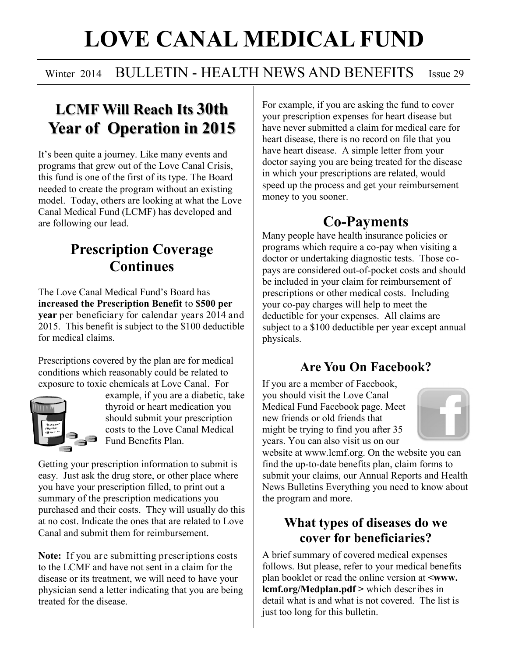# **LOVE CANAL MEDICAL FUND**

#### Winter 2014 BULLETIN - HEALTH NEWS AND BENEFITS Issue 29

# **LCMF Will Reach Its 30th Year of Operation in 2015**

It's been quite a journey. Like many events and programs that grew out of the Love Canal Crisis, this fund is one of the first of its type. The Board needed to create the program without an existing model. Today, others are looking at what the Love Canal Medical Fund (LCMF) has developed and are following our lead.

## **Prescription Coverage Continues**

The Love Canal Medical Fund's Board has **increased the Prescription Benefit** to **\$500 per year** per beneficiary for calendar years 2014 and 2015. This benefit is subject to the \$100 deductible for medical claims.

Prescriptions covered by the plan are for medical conditions which reasonably could be related to exposure to toxic chemicals at Love Canal. For



example, if you are a diabetic, take thyroid or heart medication you should submit your prescription costs to the Love Canal Medical Fund Benefits Plan.

Getting your prescription information to submit is easy. Just ask the drug store, or other place where you have your prescription filled, to print out a summary of the prescription medications you purchased and their costs. They will usually do this at no cost. Indicate the ones that are related to Love Canal and submit them for reimbursement.

**Note:** If you are submitting prescriptions costs to the LCMF and have not sent in a claim for the disease or its treatment, we will need to have your physician send a letter indicating that you are being treated for the disease.

For example, if you are asking the fund to cover your prescription expenses for heart disease but have never submitted a claim for medical care for heart disease, there is no record on file that you have heart disease. A simple letter from your doctor saying you are being treated for the disease in which your prescriptions are related, would speed up the process and get your reimbursement money to you sooner.

## **Co-Payments**

Many people have health insurance policies or programs which require a co-pay when visiting a doctor or undertaking diagnostic tests. Those copays are considered out-of-pocket costs and should be included in your claim for reimbursement of prescriptions or other medical costs. Including your co-pay charges will help to meet the deductible for your expenses. All claims are subject to a \$100 deductible per year except annual physicals.

#### **Are You On Facebook?**

If you are a member of Facebook, you should visit the Love Canal Medical Fund Facebook page. Meet new friends or old friends that might be trying to find you after 35 years. You can also visit us on our



website at www.lcmf.org. On the website you can find the up-to-date benefits plan, claim forms to submit your claims, our Annual Reports and Health News Bulletins Everything you need to know about the program and more.

#### **What types of diseases do we cover for beneficiaries?**

A brief summary of covered medical expenses follows. But please, refer to your medical benefits plan booklet or read the online version at **<www. lcmf.org/Medplan.pdf >** which describes in detail what is and what is not covered. The list is just too long for this bulletin.